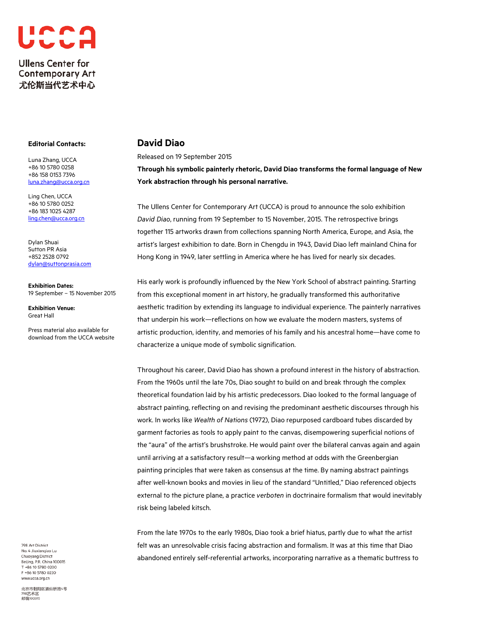

## **Editorial Contacts:**

Luna Zhang, UCCA +86 10 5780 0258 +86 158 0153 7396 [luna.zhang@ucca.org.cn](mailto:luna.zhang@ucca.org.cn)

Ling Chen, UCCA +86 10 5780 0252 +86 183 1025 4287 [ling.chen@ucca.org.cn](mailto:ling.chen@ucca.org.cn)

Dylan Shuai Sutton PR Asia +852 2528 0792 [dylan@suttonprasia.com](mailto:dylan@suttonprasia.com)

**Exhibition Dates:** 19 September – 15 November 2015

**Exhibition Venue:**  Great Hall

Press material also available for download from the UCCA website

798 Art District No. 4 Jiuxiangiao Lu Chaovang District Beijing, P.R. China 100015 T +86 10 5780 0200 F +86 10 5780 0220 www.ucca.org.cn

北京市朝阳区酒仙桥路4号 798艺术区<br>邮编100015

# **David Diao**

Released on 19 September 2015

**Through his symbolic painterly rhetoric, David Diao transforms the formal language of New York abstraction through his personal narrative.**

The Ullens Center for Contemporary Art (UCCA) is proud to announce the solo exhibition *David Diao*, running from 19 September to 15 November, 2015. The retrospective brings together 115 artworks drawn from collections spanning North America, Europe, and Asia, the artist's largest exhibition to date. Born in Chengdu in 1943, David Diao left mainland China for Hong Kong in 1949, later settling in America where he has lived for nearly six decades.

His early work is profoundly influenced by the New York School of abstract painting. Starting from this exceptional moment in art history, he gradually transformed this authoritative aesthetic tradition by extending its language to individual experience. The painterly narratives that underpin his work—reflections on how we evaluate the modern masters, systems of artistic production, identity, and memories of his family and his ancestral home—have come to characterize a unique mode of symbolic signification.

Throughout his career, David Diao has shown a profound interest in the history of abstraction. From the 1960s until the late 70s, Diao sought to build on and break through the complex theoretical foundation laid by his artistic predecessors. Diao looked to the formal language of abstract painting, reflecting on and revising the predominant aesthetic discourses through his work. In works like *Wealth of Nations* (1972), Diao repurposed cardboard tubes discarded by garment factories as tools to apply paint to the canvas, disempowering superficial notions of the "aura" of the artist's brushstroke. He would paint over the bilateral canvas again and again until arriving at a satisfactory result—a working method at odds with the Greenbergian painting principles that were taken as consensus at the time. By naming abstract paintings after well-known books and movies in lieu of the standard "Untitled," Diao referenced objects external to the picture plane, a practice *verboten* in doctrinaire formalism that would inevitably risk being labeled kitsch.

From the late 1970s to the early 1980s, Diao took a brief hiatus, partly due to what the artist felt was an unresolvable crisis facing abstraction and formalism. It was at this time that Diao abandoned entirely self-referential artworks, incorporating narrative as a thematic buttress to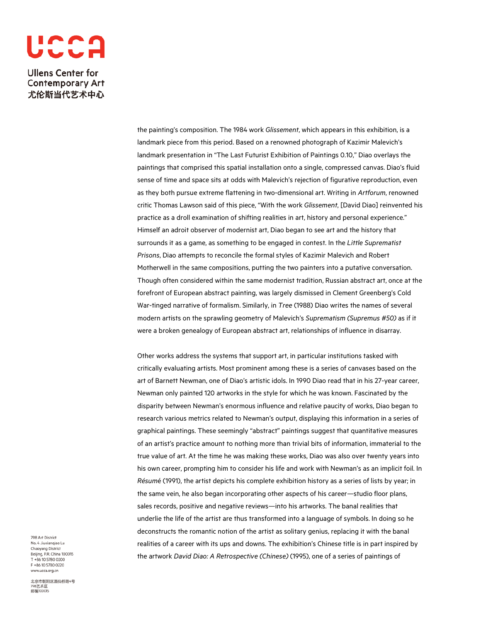

> the painting's composition. The 1984 work *Glissement*, which appears in this exhibition, is a landmark piece from this period. Based on a renowned photograph of Kazimir Malevich's landmark presentation in "The Last Futurist Exhibition of Paintings 0.10," Diao overlays the paintings that comprised this spatial installation onto a single, compressed canvas. Diao's fluid sense of time and space sits at odds with Malevich's rejection of figurative reproduction, even as they both pursue extreme flattening in two-dimensional art. Writing in *Artforum*, renowned critic Thomas Lawson said of this piece, "With the work *Glissement*, [David Diao] reinvented his practice as a droll examination of shifting realities in art, history and personal experience." Himself an adroit observer of modernist art, Diao began to see art and the history that surrounds it as a game, as something to be engaged in contest. In the *Little Suprematist Prisons*, Diao attempts to reconcile the formal styles of Kazimir Malevich and Robert Motherwell in the same compositions, putting the two painters into a putative conversation. Though often considered within the same modernist tradition, Russian abstract art, once at the forefront of European abstract painting, was largely dismissed in Clement Greenberg's Cold War-tinged narrative of formalism. Similarly, in *Tree* (1988) Diao writes the names of several modern artists on the sprawling geometry of Malevich's *Suprematism (Supremus #50)* as if it were a broken genealogy of European abstract art, relationships of influence in disarray.

> Other works address the systems that support art, in particular institutions tasked with critically evaluating artists. Most prominent among these is a series of canvases based on the art of Barnett Newman, one of Diao's artistic idols. In 1990 Diao read that in his 27-year career, Newman only painted 120 artworks in the style for which he was known. Fascinated by the disparity between Newman's enormous influence and relative paucity of works, Diao began to research various metrics related to Newman's output, displaying this information in a series of graphical paintings. These seemingly "abstract" paintings suggest that quantitative measures of an artist's practice amount to nothing more than trivial bits of information, immaterial to the true value of art. At the time he was making these works, Diao was also over twenty years into his own career, prompting him to consider his life and work with Newman's as an implicit foil. In *Résum*é (1991), the artist depicts his complete exhibition history as a series of lists by year; in the same vein, he also began incorporating other aspects of his career—studio floor plans, sales records, positive and negative reviews—into his artworks. The banal realities that underlie the life of the artist are thus transformed into a language of symbols. In doing so he deconstructs the romantic notion of the artist as solitary genius, replacing it with the banal realities of a career with its ups and downs. The exhibition's Chinese title is in part inspired by the artwork *David Diao: A Retrospective (Chinese)* (1995), one of a series of paintings of

798 Art District No. 4 Jiuxiangiao Lu Chaoyang District Beijing, P.R. China 100015 T +86 10 5780 0200 F +86 10 5780 0220 www.ucca.org.cn

北京市朝阳区酒仙桥路4号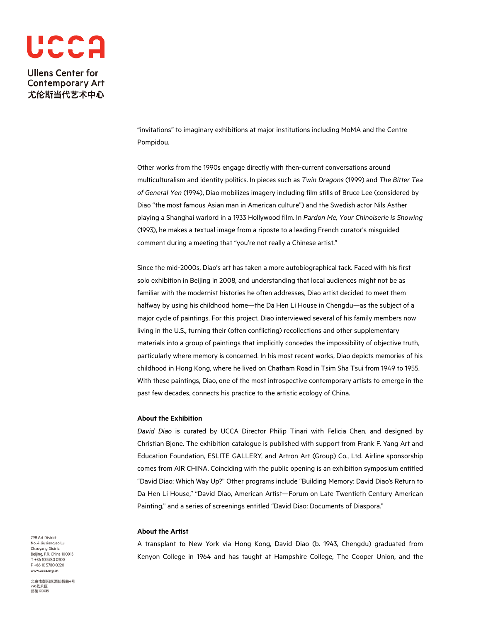

> "invitations" to imaginary exhibitions at major institutions including MoMA and the Centre Pompidou.

Other works from the 1990s engage directly with then-current conversations around multiculturalism and identity politics. In pieces such as *Twin Dragons* (1999) and *The Bitter Tea of General Yen* (1994), Diao mobilizes imagery including film stills of Bruce Lee (considered by Diao "the most famous Asian man in American culture") and the Swedish actor Nils Asther playing a Shanghai warlord in a 1933 Hollywood film. In *Pardon Me, Your Chinoiserie is Showing* (1993), he makes a textual image from a riposte to a leading French curator's misguided comment during a meeting that "you're not really a Chinese artist."

Since the mid-2000s, Diao's art has taken a more autobiographical tack. Faced with his first solo exhibition in Beijing in 2008, and understanding that local audiences might not be as familiar with the modernist histories he often addresses, Diao artist decided to meet them halfway by using his childhood home—the Da Hen Li House in Chengdu—as the subject of a major cycle of paintings. For this project, Diao interviewed several of his family members now living in the U.S., turning their (often conflicting) recollections and other supplementary materials into a group of paintings that implicitly concedes the impossibility of objective truth, particularly where memory is concerned. In his most recent works, Diao depicts memories of his childhood in Hong Kong, where he lived on Chatham Road in Tsim Sha Tsui from 1949 to 1955. With these paintings, Diao, one of the most introspective contemporary artists to emerge in the past few decades, connects his practice to the artistic ecology of China.

## **About the Exhibition**

*David Diao* is curated by UCCA Director Philip Tinari with Felicia Chen, and designed by Christian Bjone. The exhibition catalogue is published with support from Frank F. Yang Art and Education Foundation, ESLITE GALLERY, and Artron Art (Group) Co., Ltd. Airline sponsorship comes from AIR CHINA. Coinciding with the public opening is an exhibition symposium entitled "David Diao: Which Way Up?" Other programs include "Building Memory: David Diao's Return to Da Hen Li House," "David Diao, American Artist—Forum on Late Twentieth Century American Painting," and a series of screenings entitled "David Diao: Documents of Diaspora."

### **About the Artist**

A transplant to New York via Hong Kong, David Diao (b. 1943, Chengdu) graduated from Kenyon College in 1964 and has taught at Hampshire College, The Cooper Union, and the

798 Art District No. 4 Jiuxiangiao Lu Chaoyang District Beijing, P.R. China 100015 T +86 10 5780 0200 F +86 10 5780 0220 www.ucca.org.cn

北京市朝阳区酒仙桥路4号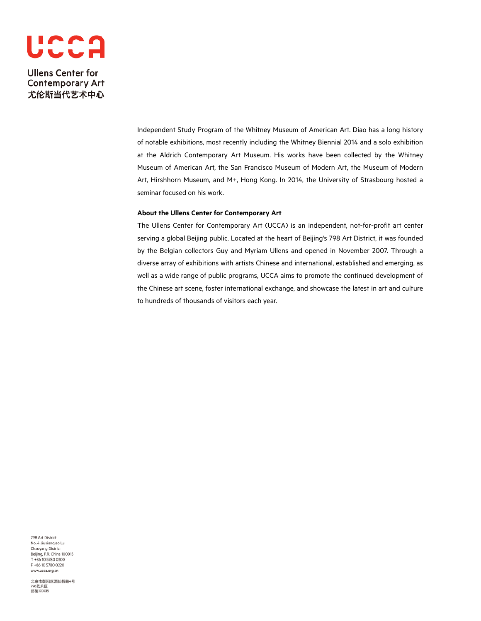

> Independent Study Program of the Whitney Museum of American Art. Diao has a long history of notable exhibitions, most recently including the Whitney Biennial 2014 and a solo exhibition at the Aldrich Contemporary Art Museum. His works have been collected by the Whitney Museum of American Art, the San Francisco Museum of Modern Art, the Museum of Modern Art, Hirshhorn Museum, and M+, Hong Kong. In 2014, the University of Strasbourg hosted a seminar focused on his work.

#### **About the Ullens Center for Contemporary Art**

The Ullens Center for Contemporary Art (UCCA) is an independent, not-for-profit art center serving a global Beijing public. Located at the heart of Beijing's 798 Art District, it was founded by the Belgian collectors Guy and Myriam Ullens and opened in November 2007. Through a diverse array of exhibitions with artists Chinese and international, established and emerging, as well as a wide range of public programs, UCCA aims to promote the continued development of the Chinese art scene, foster international exchange, and showcase the latest in art and culture to hundreds of thousands of visitors each year.

798 Art District No. 4 Jiuxiangiao Lu Chaoyang District Beijing, P.R. China 100015<br>T +86 10 5780 0200 F +86 10 5780 0220 www.ucca.org.cn

北京市朝阳区酒仙桥路4号<br>798艺术区<br>邮编100015